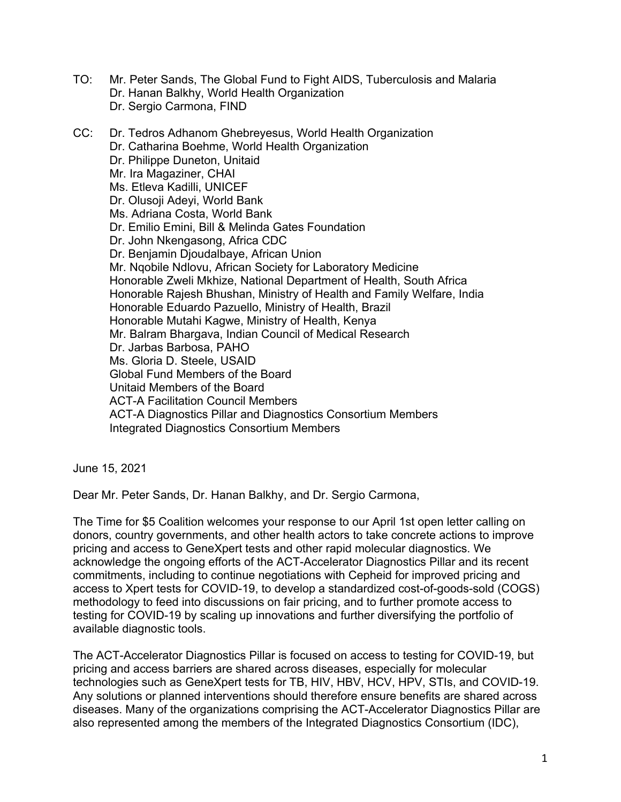- TO: Mr. Peter Sands, The Global Fund to Fight AIDS, Tuberculosis and Malaria Dr. Hanan Balkhy, World Health Organization Dr. Sergio Carmona, FIND
- CC: Dr. Tedros Adhanom Ghebreyesus, World Health Organization Dr. Catharina Boehme, World Health Organization Dr. Philippe Duneton, Unitaid Mr. Ira Magaziner, CHAI Ms. Etleva Kadilli, UNICEF Dr. Olusoji Adeyi, World Bank Ms. Adriana Costa, World Bank Dr. Emilio Emini, Bill & Melinda Gates Foundation Dr. John Nkengasong, Africa CDC Dr. Benjamin Djoudalbaye, African Union Mr. Nqobile Ndlovu, African Society for Laboratory Medicine Honorable Zweli Mkhize, National Department of Health, South Africa Honorable Rajesh Bhushan, Ministry of Health and Family Welfare, India Honorable Eduardo Pazuello, Ministry of Health, Brazil Honorable Mutahi Kagwe, Ministry of Health, Kenya Mr. Balram Bhargava, Indian Council of Medical Research Dr. Jarbas Barbosa, PAHO Ms. Gloria D. Steele, USAID Global Fund Members of the Board Unitaid Members of the Board ACT-A Facilitation Council Members ACT-A Diagnostics Pillar and Diagnostics Consortium Members Integrated Diagnostics Consortium Members

June 15, 2021

Dear Mr. Peter Sands, Dr. Hanan Balkhy, and Dr. Sergio Carmona,

The Time for \$5 Coalition welcomes your response to our April 1st open letter calling on donors, country governments, and other health actors to take concrete actions to improve pricing and access to GeneXpert tests and other rapid molecular diagnostics. We acknowledge the ongoing efforts of the ACT-Accelerator Diagnostics Pillar and its recent commitments, including to continue negotiations with Cepheid for improved pricing and access to Xpert tests for COVID-19, to develop a standardized cost-of-goods-sold (COGS) methodology to feed into discussions on fair pricing, and to further promote access to testing for COVID-19 by scaling up innovations and further diversifying the portfolio of available diagnostic tools.

The ACT-Accelerator Diagnostics Pillar is focused on access to testing for COVID-19, but pricing and access barriers are shared across diseases, especially for molecular technologies such as GeneXpert tests for TB, HIV, HBV, HCV, HPV, STIs, and COVID-19. Any solutions or planned interventions should therefore ensure benefits are shared across diseases. Many of the organizations comprising the ACT-Accelerator Diagnostics Pillar are also represented among the members of the Integrated Diagnostics Consortium (IDC),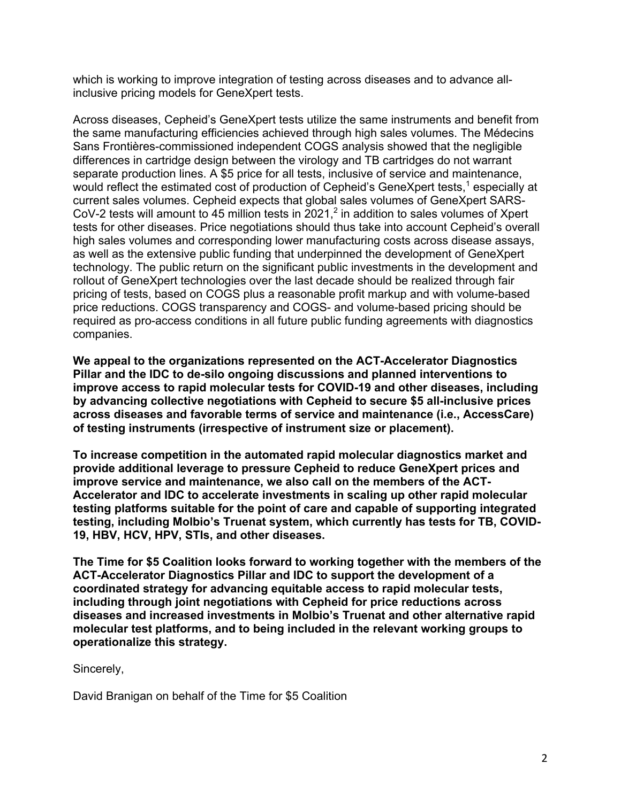which is working to improve integration of testing across diseases and to advance allinclusive pricing models for GeneXpert tests.

Across diseases, Cepheid's GeneXpert tests utilize the same instruments and benefit from the same manufacturing efficiencies achieved through high sales volumes. The Médecins Sans Frontières-commissioned independent COGS analysis showed that the negligible differences in cartridge design between the virology and TB cartridges do not warrant separate production lines. A \$5 price for all tests, inclusive of service and maintenance, would reflect the estimated cost of production of Cepheid's GeneXpert tests,<sup>1</sup> especially at current sales volumes. Cepheid expects that global sales volumes of GeneXpert SARS-CoV-2 tests will amount to 45 million tests in  $2021$ ,<sup>2</sup> in addition to sales volumes of Xpert tests for other diseases. Price negotiations should thus take into account Cepheid's overall high sales volumes and corresponding lower manufacturing costs across disease assays, as well as the extensive public funding that underpinned the development of GeneXpert technology. The public return on the significant public investments in the development and rollout of GeneXpert technologies over the last decade should be realized through fair pricing of tests, based on COGS plus a reasonable profit markup and with volume-based price reductions. COGS transparency and COGS- and volume-based pricing should be required as pro-access conditions in all future public funding agreements with diagnostics companies.

**We appeal to the organizations represented on the ACT-Accelerator Diagnostics Pillar and the IDC to de-silo ongoing discussions and planned interventions to improve access to rapid molecular tests for COVID-19 and other diseases, including by advancing collective negotiations with Cepheid to secure \$5 all-inclusive prices across diseases and favorable terms of service and maintenance (i.e., AccessCare) of testing instruments (irrespective of instrument size or placement).**

**To increase competition in the automated rapid molecular diagnostics market and provide additional leverage to pressure Cepheid to reduce GeneXpert prices and improve service and maintenance, we also call on the members of the ACT-Accelerator and IDC to accelerate investments in scaling up other rapid molecular testing platforms suitable for the point of care and capable of supporting integrated testing, including Molbio's Truenat system, which currently has tests for TB, COVID-19, HBV, HCV, HPV, STIs, and other diseases.**

**The Time for \$5 Coalition looks forward to working together with the members of the ACT-Accelerator Diagnostics Pillar and IDC to support the development of a coordinated strategy for advancing equitable access to rapid molecular tests, including through joint negotiations with Cepheid for price reductions across diseases and increased investments in Molbio's Truenat and other alternative rapid molecular test platforms, and to being included in the relevant working groups to operationalize this strategy.** 

Sincerely,

David Branigan on behalf of the Time for \$5 Coalition